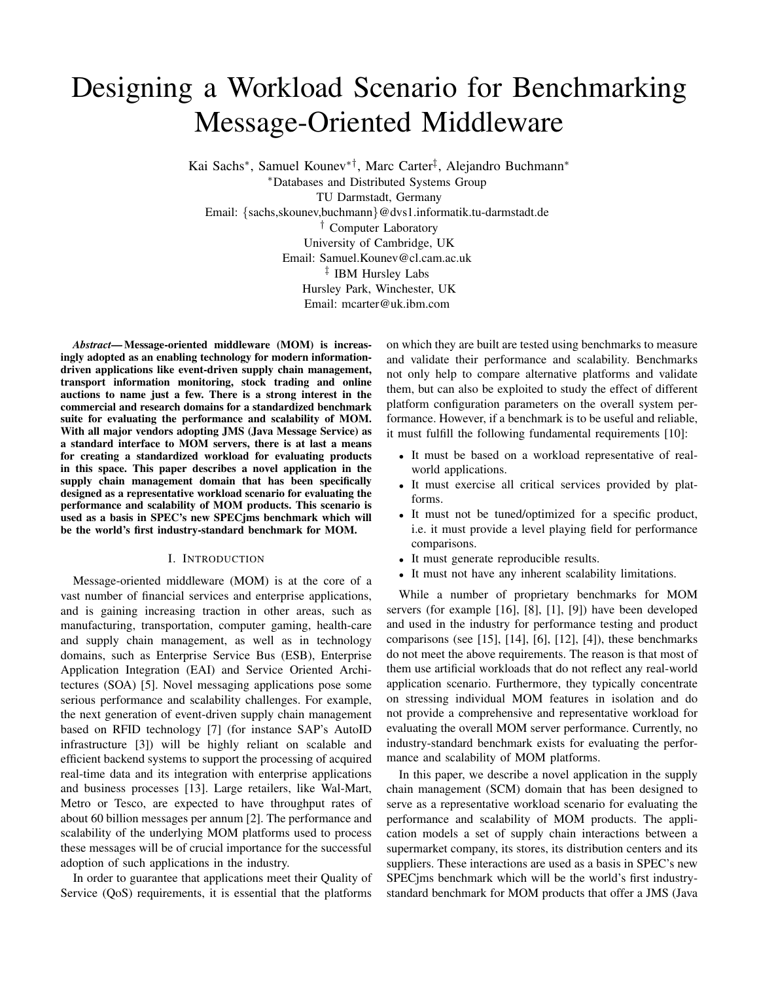# Designing a Workload Scenario for Benchmarking Message-Oriented Middleware

Kai Sachs<sup>∗</sup> , Samuel Kounev∗†, Marc Carter‡ , Alejandro Buchmann<sup>∗</sup>

<sup>∗</sup>Databases and Distributed Systems Group TU Darmstadt, Germany Email: {sachs,skounev,buchmann}@dvs1.informatik.tu-darmstadt.de † Computer Laboratory University of Cambridge, UK Email: Samuel.Kounev@cl.cam.ac.uk ‡ IBM Hursley Labs Hursley Park, Winchester, UK Email: mcarter@uk.ibm.com

*Abstract*— Message-oriented middleware (MOM) is increasingly adopted as an enabling technology for modern informationdriven applications like event-driven supply chain management, transport information monitoring, stock trading and online auctions to name just a few. There is a strong interest in the commercial and research domains for a standardized benchmark suite for evaluating the performance and scalability of MOM. With all major vendors adopting JMS (Java Message Service) as a standard interface to MOM servers, there is at last a means for creating a standardized workload for evaluating products in this space. This paper describes a novel application in the supply chain management domain that has been specifically designed as a representative workload scenario for evaluating the performance and scalability of MOM products. This scenario is used as a basis in SPEC's new SPECjms benchmark which will be the world's first industry-standard benchmark for MOM.

#### I. INTRODUCTION

Message-oriented middleware (MOM) is at the core of a vast number of financial services and enterprise applications, and is gaining increasing traction in other areas, such as manufacturing, transportation, computer gaming, health-care and supply chain management, as well as in technology domains, such as Enterprise Service Bus (ESB), Enterprise Application Integration (EAI) and Service Oriented Architectures (SOA) [5]. Novel messaging applications pose some serious performance and scalability challenges. For example, the next generation of event-driven supply chain management based on RFID technology [7] (for instance SAP's AutoID infrastructure [3]) will be highly reliant on scalable and efficient backend systems to support the processing of acquired real-time data and its integration with enterprise applications and business processes [13]. Large retailers, like Wal-Mart, Metro or Tesco, are expected to have throughput rates of about 60 billion messages per annum [2]. The performance and scalability of the underlying MOM platforms used to process these messages will be of crucial importance for the successful adoption of such applications in the industry.

In order to guarantee that applications meet their Quality of Service (QoS) requirements, it is essential that the platforms

on which they are built are tested using benchmarks to measure and validate their performance and scalability. Benchmarks not only help to compare alternative platforms and validate them, but can also be exploited to study the effect of different platform configuration parameters on the overall system performance. However, if a benchmark is to be useful and reliable, it must fulfill the following fundamental requirements [10]:

- It must be based on a workload representative of realworld applications.
- It must exercise all critical services provided by platforms.
- It must not be tuned/optimized for a specific product, i.e. it must provide a level playing field for performance comparisons.
- It must generate reproducible results.
- It must not have any inherent scalability limitations.

While a number of proprietary benchmarks for MOM servers (for example [16], [8], [1], [9]) have been developed and used in the industry for performance testing and product comparisons (see [15], [14], [6], [12], [4]), these benchmarks do not meet the above requirements. The reason is that most of them use artificial workloads that do not reflect any real-world application scenario. Furthermore, they typically concentrate on stressing individual MOM features in isolation and do not provide a comprehensive and representative workload for evaluating the overall MOM server performance. Currently, no industry-standard benchmark exists for evaluating the performance and scalability of MOM platforms.

In this paper, we describe a novel application in the supply chain management (SCM) domain that has been designed to serve as a representative workload scenario for evaluating the performance and scalability of MOM products. The application models a set of supply chain interactions between a supermarket company, its stores, its distribution centers and its suppliers. These interactions are used as a basis in SPEC's new SPECjms benchmark which will be the world's first industrystandard benchmark for MOM products that offer a JMS (Java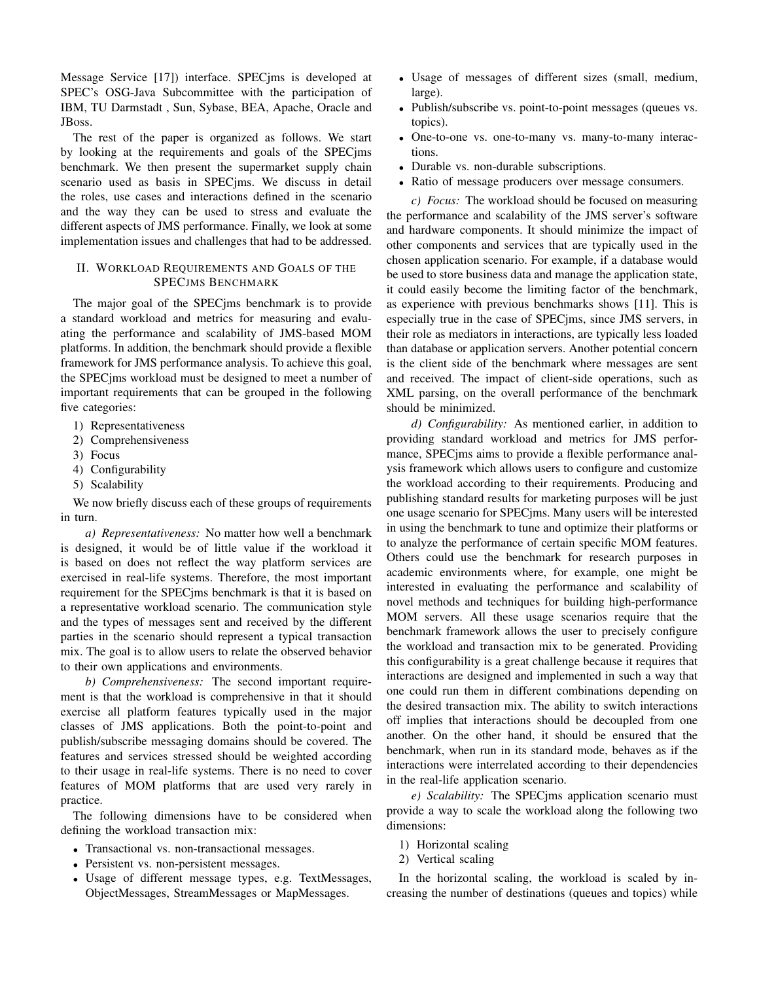Message Service [17]) interface. SPECjms is developed at SPEC's OSG-Java Subcommittee with the participation of IBM, TU Darmstadt , Sun, Sybase, BEA, Apache, Oracle and JBoss.

The rest of the paper is organized as follows. We start by looking at the requirements and goals of the SPECjms benchmark. We then present the supermarket supply chain scenario used as basis in SPECjms. We discuss in detail the roles, use cases and interactions defined in the scenario and the way they can be used to stress and evaluate the different aspects of JMS performance. Finally, we look at some implementation issues and challenges that had to be addressed.

# II. WORKLOAD REQUIREMENTS AND GOALS OF THE SPECJMS BENCHMARK

The major goal of the SPECjms benchmark is to provide a standard workload and metrics for measuring and evaluating the performance and scalability of JMS-based MOM platforms. In addition, the benchmark should provide a flexible framework for JMS performance analysis. To achieve this goal, the SPECjms workload must be designed to meet a number of important requirements that can be grouped in the following five categories:

- 1) Representativeness
- 2) Comprehensiveness
- 3) Focus
- 4) Configurability
- 5) Scalability

We now briefly discuss each of these groups of requirements in turn.

*a) Representativeness:* No matter how well a benchmark is designed, it would be of little value if the workload it is based on does not reflect the way platform services are exercised in real-life systems. Therefore, the most important requirement for the SPECjms benchmark is that it is based on a representative workload scenario. The communication style and the types of messages sent and received by the different parties in the scenario should represent a typical transaction mix. The goal is to allow users to relate the observed behavior to their own applications and environments.

*b) Comprehensiveness:* The second important requirement is that the workload is comprehensive in that it should exercise all platform features typically used in the major classes of JMS applications. Both the point-to-point and publish/subscribe messaging domains should be covered. The features and services stressed should be weighted according to their usage in real-life systems. There is no need to cover features of MOM platforms that are used very rarely in practice.

The following dimensions have to be considered when defining the workload transaction mix:

- Transactional vs. non-transactional messages.
- Persistent vs. non-persistent messages.
- Usage of different message types, e.g. TextMessages, ObjectMessages, StreamMessages or MapMessages.
- Usage of messages of different sizes (small, medium, large).
- Publish/subscribe vs. point-to-point messages (queues vs. topics).
- One-to-one vs. one-to-many vs. many-to-many interactions.
- Durable vs. non-durable subscriptions.
- Ratio of message producers over message consumers.

*c) Focus:* The workload should be focused on measuring the performance and scalability of the JMS server's software and hardware components. It should minimize the impact of other components and services that are typically used in the chosen application scenario. For example, if a database would be used to store business data and manage the application state, it could easily become the limiting factor of the benchmark, as experience with previous benchmarks shows [11]. This is especially true in the case of SPECjms, since JMS servers, in their role as mediators in interactions, are typically less loaded than database or application servers. Another potential concern is the client side of the benchmark where messages are sent and received. The impact of client-side operations, such as XML parsing, on the overall performance of the benchmark should be minimized.

*d) Configurability:* As mentioned earlier, in addition to providing standard workload and metrics for JMS performance, SPECjms aims to provide a flexible performance analysis framework which allows users to configure and customize the workload according to their requirements. Producing and publishing standard results for marketing purposes will be just one usage scenario for SPECjms. Many users will be interested in using the benchmark to tune and optimize their platforms or to analyze the performance of certain specific MOM features. Others could use the benchmark for research purposes in academic environments where, for example, one might be interested in evaluating the performance and scalability of novel methods and techniques for building high-performance MOM servers. All these usage scenarios require that the benchmark framework allows the user to precisely configure the workload and transaction mix to be generated. Providing this configurability is a great challenge because it requires that interactions are designed and implemented in such a way that one could run them in different combinations depending on the desired transaction mix. The ability to switch interactions off implies that interactions should be decoupled from one another. On the other hand, it should be ensured that the benchmark, when run in its standard mode, behaves as if the interactions were interrelated according to their dependencies in the real-life application scenario.

*e) Scalability:* The SPECjms application scenario must provide a way to scale the workload along the following two dimensions:

- 1) Horizontal scaling
- 2) Vertical scaling

In the horizontal scaling, the workload is scaled by increasing the number of destinations (queues and topics) while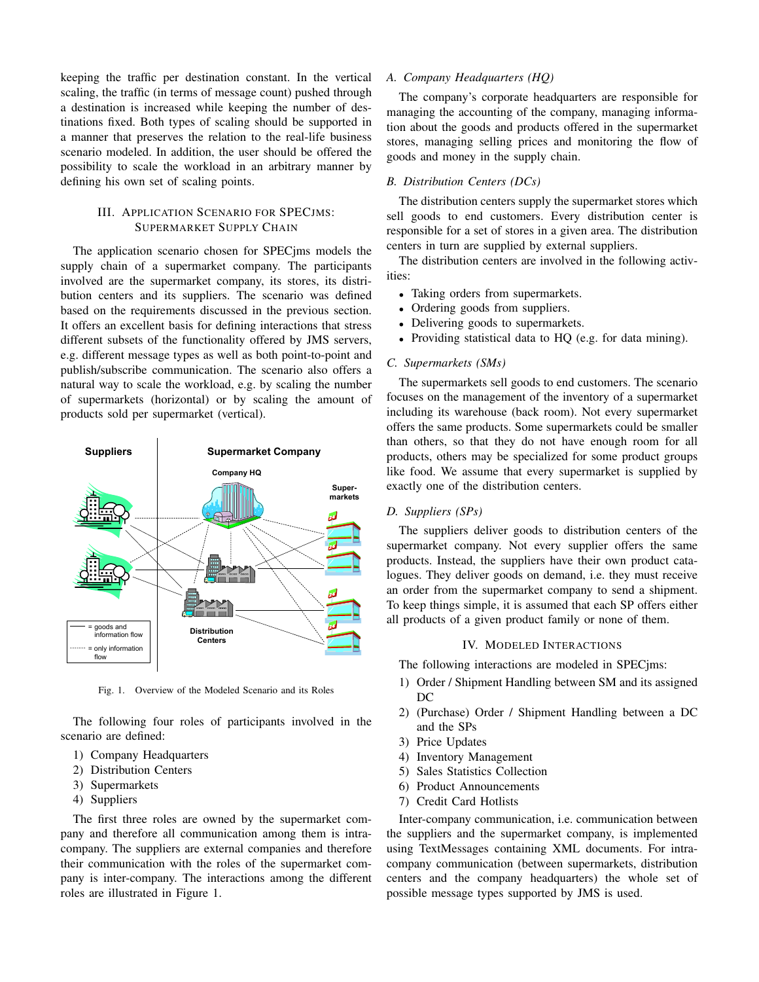keeping the traffic per destination constant. In the vertical scaling, the traffic (in terms of message count) pushed through a destination is increased while keeping the number of destinations fixed. Both types of scaling should be supported in a manner that preserves the relation to the real-life business scenario modeled. In addition, the user should be offered the possibility to scale the workload in an arbitrary manner by defining his own set of scaling points.

# III. APPLICATION SCENARIO FOR SPECJMS: SUPERMARKET SUPPLY CHAIN

The application scenario chosen for SPECjms models the supply chain of a supermarket company. The participants involved are the supermarket company, its stores, its distribution centers and its suppliers. The scenario was defined based on the requirements discussed in the previous section. It offers an excellent basis for defining interactions that stress different subsets of the functionality offered by JMS servers, e.g. different message types as well as both point-to-point and publish/subscribe communication. The scenario also offers a natural way to scale the workload, e.g. by scaling the number of supermarkets (horizontal) or by scaling the amount of products sold per supermarket (vertical).



Fig. 1. Overview of the Modeled Scenario and its Roles

The following four roles of participants involved in the scenario are defined:

- 1) Company Headquarters
- 2) Distribution Centers
- 3) Supermarkets
- 4) Suppliers

The first three roles are owned by the supermarket company and therefore all communication among them is intracompany. The suppliers are external companies and therefore their communication with the roles of the supermarket company is inter-company. The interactions among the different roles are illustrated in Figure 1.

#### *A. Company Headquarters (HQ)*

The company's corporate headquarters are responsible for managing the accounting of the company, managing information about the goods and products offered in the supermarket stores, managing selling prices and monitoring the flow of goods and money in the supply chain.

# *B. Distribution Centers (DCs)*

The distribution centers supply the supermarket stores which sell goods to end customers. Every distribution center is responsible for a set of stores in a given area. The distribution centers in turn are supplied by external suppliers.

The distribution centers are involved in the following activities:

- Taking orders from supermarkets.
- Ordering goods from suppliers.
- Delivering goods to supermarkets.
- Providing statistical data to HQ (e.g. for data mining).

#### *C. Supermarkets (SMs)*

The supermarkets sell goods to end customers. The scenario focuses on the management of the inventory of a supermarket including its warehouse (back room). Not every supermarket offers the same products. Some supermarkets could be smaller than others, so that they do not have enough room for all products, others may be specialized for some product groups like food. We assume that every supermarket is supplied by exactly one of the distribution centers.

# *D. Suppliers (SPs)*

The suppliers deliver goods to distribution centers of the supermarket company. Not every supplier offers the same products. Instead, the suppliers have their own product catalogues. They deliver goods on demand, i.e. they must receive an order from the supermarket company to send a shipment. To keep things simple, it is assumed that each SP offers either all products of a given product family or none of them.

## IV. MODELED INTERACTIONS

The following interactions are modeled in SPECjms:

- 1) Order / Shipment Handling between SM and its assigned  $DC$
- 2) (Purchase) Order / Shipment Handling between a DC and the SPs
- 3) Price Updates
- 4) Inventory Management
- 5) Sales Statistics Collection
- 6) Product Announcements
- 7) Credit Card Hotlists

Inter-company communication, i.e. communication between the suppliers and the supermarket company, is implemented using TextMessages containing XML documents. For intracompany communication (between supermarkets, distribution centers and the company headquarters) the whole set of possible message types supported by JMS is used.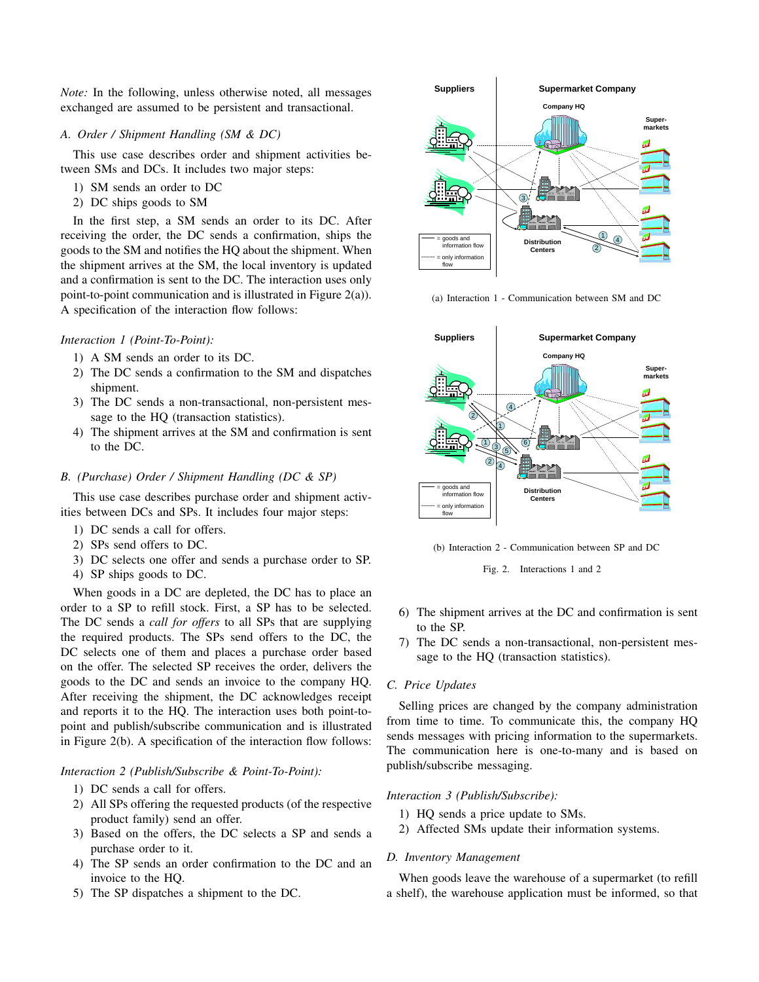*Note:* In the following, unless otherwise noted, all messages exchanged are assumed to be persistent and transactional.

## *A. Order / Shipment Handling (SM & DC)*

This use case describes order and shipment activities between SMs and DCs. It includes two major steps:

- 1) SM sends an order to DC
- 2) DC ships goods to SM

In the first step, a SM sends an order to its DC. After receiving the order, the DC sends a confirmation, ships the goods to the SM and notifies the HQ about the shipment. When the shipment arrives at the SM, the local inventory is updated and a confirmation is sent to the DC. The interaction uses only point-to-point communication and is illustrated in Figure 2(a)). A specification of the interaction flow follows:

## *Interaction 1 (Point-To-Point):*

- 1) A SM sends an order to its DC.
- 2) The DC sends a confirmation to the SM and dispatches shipment.
- 3) The DC sends a non-transactional, non-persistent message to the HQ (transaction statistics).
- 4) The shipment arrives at the SM and confirmation is sent to the DC.

## *B. (Purchase) Order / Shipment Handling (DC & SP)*

This use case describes purchase order and shipment activities between DCs and SPs. It includes four major steps:

- 1) DC sends a call for offers.
- 2) SPs send offers to DC.
- 3) DC selects one offer and sends a purchase order to SP.
- 4) SP ships goods to DC.

When goods in a DC are depleted, the DC has to place an order to a SP to refill stock. First, a SP has to be selected. The DC sends a *call for offers* to all SPs that are supplying the required products. The SPs send offers to the DC, the DC selects one of them and places a purchase order based on the offer. The selected SP receives the order, delivers the goods to the DC and sends an invoice to the company HQ. After receiving the shipment, the DC acknowledges receipt and reports it to the HQ. The interaction uses both point-topoint and publish/subscribe communication and is illustrated in Figure 2(b). A specification of the interaction flow follows:

*Interaction 2 (Publish/Subscribe & Point-To-Point):*

- 1) DC sends a call for offers.
- 2) All SPs offering the requested products (of the respective product family) send an offer.
- 3) Based on the offers, the DC selects a SP and sends a purchase order to it.
- 4) The SP sends an order confirmation to the DC and an invoice to the HQ.
- 5) The SP dispatches a shipment to the DC.



(a) Interaction 1 - Communication between SM and DC



(b) Interaction 2 - Communication between SP and DC

Fig. 2. Interactions 1 and 2

- 6) The shipment arrives at the DC and confirmation is sent to the SP.
- 7) The DC sends a non-transactional, non-persistent message to the HQ (transaction statistics).

# *C. Price Updates*

Selling prices are changed by the company administration from time to time. To communicate this, the company HQ sends messages with pricing information to the supermarkets. The communication here is one-to-many and is based on publish/subscribe messaging.

## *Interaction 3 (Publish/Subscribe):*

- 1) HQ sends a price update to SMs.
- 2) Affected SMs update their information systems.

# *D. Inventory Management*

When goods leave the warehouse of a supermarket (to refill a shelf), the warehouse application must be informed, so that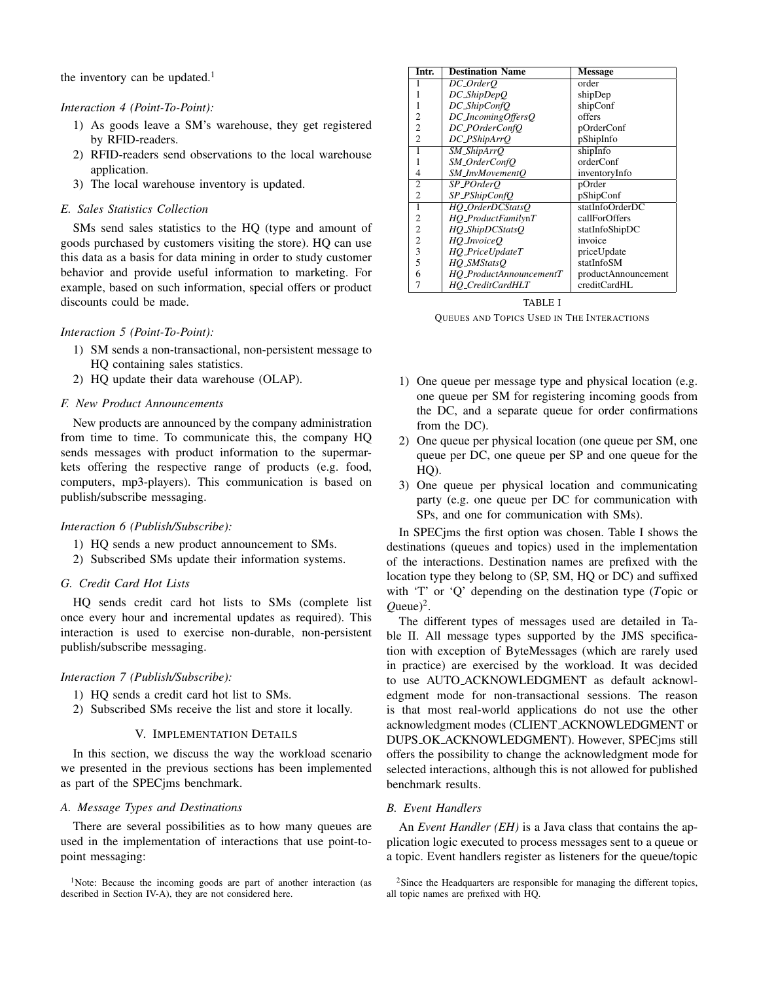the inventory can be updated.<sup>1</sup>

## *Interaction 4 (Point-To-Point):*

- 1) As goods leave a SM's warehouse, they get registered by RFID-readers.
- 2) RFID-readers send observations to the local warehouse application.
- 3) The local warehouse inventory is updated.

#### *E. Sales Statistics Collection*

SMs send sales statistics to the HQ (type and amount of goods purchased by customers visiting the store). HQ can use this data as a basis for data mining in order to study customer behavior and provide useful information to marketing. For example, based on such information, special offers or product discounts could be made.

## *Interaction 5 (Point-To-Point):*

- 1) SM sends a non-transactional, non-persistent message to HQ containing sales statistics.
- 2) HQ update their data warehouse (OLAP).

# *F. New Product Announcements*

New products are announced by the company administration from time to time. To communicate this, the company HQ sends messages with product information to the supermarkets offering the respective range of products (e.g. food, computers, mp3-players). This communication is based on publish/subscribe messaging.

#### *Interaction 6 (Publish/Subscribe):*

- 1) HQ sends a new product announcement to SMs.
- 2) Subscribed SMs update their information systems.

## *G. Credit Card Hot Lists*

HQ sends credit card hot lists to SMs (complete list once every hour and incremental updates as required). This interaction is used to exercise non-durable, non-persistent publish/subscribe messaging.

## *Interaction 7 (Publish/Subscribe):*

- 1) HQ sends a credit card hot list to SMs.
- 2) Subscribed SMs receive the list and store it locally.

# V. IMPLEMENTATION DETAILS

In this section, we discuss the way the workload scenario we presented in the previous sections has been implemented as part of the SPECjms benchmark.

#### *A. Message Types and Destinations*

There are several possibilities as to how many queues are used in the implementation of interactions that use point-topoint messaging:

| Intr.          | <b>Destination Name</b> | <b>Message</b>      |
|----------------|-------------------------|---------------------|
|                | DC_OrderO               | order               |
|                | $DC\_{ShipDepO}$        | shipDep             |
|                | DC_ShipConfQ            | shipConf            |
| 2              | DC_IncomingOffersQ      | offers              |
| 2              | DC_POrderConfO          | pOrderConf          |
| $\mathfrak{D}$ | DC_PShipArrQ            | pShipInfo           |
| 1              | SM_ShipArrO             | shipInfo            |
|                | SM_OrderConfQ           | orderConf           |
| 4              | SM_InvMovementO         | inventoryInfo       |
| 2              | SP_POrderO              | pOrder              |
| 2              | SP_PShipConfQ           | pShipConf           |
| 1              | HO_OrderDCStatsO        | statInfoOrderDC     |
| 2              | HO_ProductFamilynT      | callForOffers       |
| $\overline{c}$ | $HQ\_ShipDCStatsQ$      | statInfoShipDC      |
| $\overline{c}$ | HO_InvoiceO             | invoice             |
| 3              | HQ_PriceUpdateT         | priceUpdate         |
| 5              | HO_SMStatsO             | statInfoSM          |
| 6              | HO_ProductAnnouncementT | productAnnouncement |
| 7              | HO_CreditCardHLT        | creditCardHL        |

TABLE I QUEUES AND TOPICS USED IN THE INTERACTIONS

- 1) One queue per message type and physical location (e.g. one queue per SM for registering incoming goods from the DC, and a separate queue for order confirmations from the DC).
- 2) One queue per physical location (one queue per SM, one queue per DC, one queue per SP and one queue for the HQ).
- 3) One queue per physical location and communicating party (e.g. one queue per DC for communication with SPs, and one for communication with SMs).

In SPECjms the first option was chosen. Table I shows the destinations (queues and topics) used in the implementation of the interactions. Destination names are prefixed with the location type they belong to (SP, SM, HQ or DC) and suffixed with 'T' or 'Q' depending on the destination type (*T*opic or  $Q$ ueue $)^2$ .

The different types of messages used are detailed in Table II. All message types supported by the JMS specification with exception of ByteMessages (which are rarely used in practice) are exercised by the workload. It was decided to use AUTO ACKNOWLEDGMENT as default acknowledgment mode for non-transactional sessions. The reason is that most real-world applications do not use the other acknowledgment modes (CLIENT ACKNOWLEDGMENT or DUPS OK ACKNOWLEDGMENT). However, SPECjms still offers the possibility to change the acknowledgment mode for selected interactions, although this is not allowed for published benchmark results.

#### *B. Event Handlers*

An *Event Handler (EH)* is a Java class that contains the application logic executed to process messages sent to a queue or a topic. Event handlers register as listeners for the queue/topic

<sup>&</sup>lt;sup>1</sup>Note: Because the incoming goods are part of another interaction (as described in Section IV-A), they are not considered here.

 $2$ Since the Headquarters are responsible for managing the different topics, all topic names are prefixed with HQ.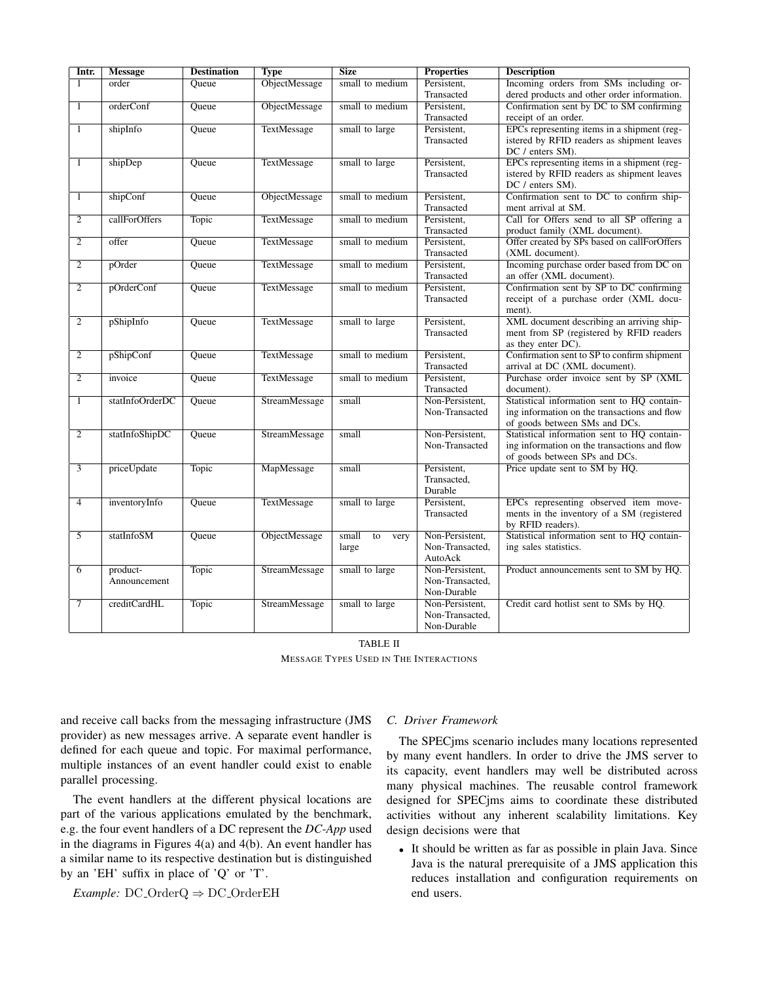| Intr.          | <b>Message</b>  | <b>Destination</b> | <b>Type</b>        | <b>Size</b>         | <b>Properties</b>                 | <b>Description</b>                                              |
|----------------|-----------------|--------------------|--------------------|---------------------|-----------------------------------|-----------------------------------------------------------------|
| $\overline{1}$ | order           | Queue              | ObjectMessage      | small to medium     | Persistent,                       | Incoming orders from SMs including or-                          |
|                |                 |                    |                    |                     | Transacted                        | dered products and other order information.                     |
| $\overline{1}$ | orderConf       | Queue              | ObjectMessage      | small to medium     | Persistent,                       | Confirmation sent by DC to SM confirming                        |
|                |                 |                    |                    |                     | Transacted                        | receipt of an order.                                            |
| $\overline{1}$ | shipInfo        | Queue              | TextMessage        | small to large      | Persistent,                       | EPCs representing items in a shipment (reg-                     |
|                |                 |                    |                    |                     | Transacted                        | istered by RFID readers as shipment leaves                      |
|                |                 |                    |                    |                     |                                   | DC / enters SM).                                                |
| $\overline{1}$ | shipDep         | Oueue              | <b>TextMessage</b> | small to large      | Persistent,                       | EPCs representing items in a shipment (reg-                     |
|                |                 |                    |                    |                     | Transacted                        | istered by RFID readers as shipment leaves                      |
|                |                 |                    |                    |                     |                                   | DC / enters SM).                                                |
| $\mathbf{1}$   | shipConf        | Queue              | ObjectMessage      | small to medium     | Persistent,                       | Confirmation sent to DC to confirm ship-                        |
|                |                 |                    |                    |                     | Transacted                        | ment arrival at SM.                                             |
| $\overline{2}$ | callForOffers   | <b>Topic</b>       | <b>TextMessage</b> | small to medium     | Persistent,                       | Call for Offers send to all SP offering a                       |
|                |                 |                    |                    |                     | Transacted                        | product family (XML document).                                  |
| $\overline{2}$ | offer           | Queue              | TextMessage        | small to medium     | Persistent,                       | Offer created by SPs based on callForOffers                     |
|                |                 |                    |                    |                     | Transacted                        | (XML document).                                                 |
| $\overline{c}$ | pOrder          | Oueue              | TextMessage        | small to medium     | Persistent,                       | Incoming purchase order based from DC on                        |
|                |                 |                    |                    |                     | Transacted                        | an offer (XML document).                                        |
| $\mathfrak{2}$ | pOrderConf      | Queue              | TextMessage        | small to medium     | Persistent,                       | Confirmation sent by SP to DC confirming                        |
|                |                 |                    |                    |                     | Transacted                        | receipt of a purchase order (XML docu-                          |
|                |                 |                    |                    |                     |                                   | ment).                                                          |
| $\overline{2}$ | pShipInfo       | Queue              | TextMessage        | small to large      | Persistent,                       | XML document describing an arriving ship-                       |
|                |                 |                    |                    |                     | Transacted                        | ment from SP (registered by RFID readers                        |
|                |                 |                    |                    |                     |                                   | as they enter DC).                                              |
| $\overline{2}$ | pShipConf       | Queue              | <b>TextMessage</b> | small to medium     | Persistent,                       | Confirmation sent to SP to confirm shipment                     |
|                |                 |                    |                    |                     | Transacted                        | arrival at DC (XML document).                                   |
| $\overline{2}$ | invoice         | Queue              | TextMessage        | small to medium     | Persistent,                       | Purchase order invoice sent by SP (XML                          |
|                |                 |                    |                    |                     | Transacted                        | document).                                                      |
| $\overline{1}$ | statInfoOrderDC | Queue              | StreamMessage      | small               | Non-Persistent,                   | Statistical information sent to HQ contain-                     |
|                |                 |                    |                    |                     | Non-Transacted                    | ing information on the transactions and flow                    |
|                |                 |                    |                    |                     |                                   | of goods between SMs and DCs.                                   |
| 2              | statInfoShipDC  | Oueue              | StreamMessage      | small               | Non-Persistent,<br>Non-Transacted | Statistical information sent to HQ contain-                     |
|                |                 |                    |                    |                     |                                   | ing information on the transactions and flow                    |
| $\overline{3}$ | priceUpdate     | Topic              | MapMessage         | small               | Persistent,                       | of goods between SPs and DCs.<br>Price update sent to SM by HQ. |
|                |                 |                    |                    |                     | Transacted,                       |                                                                 |
|                |                 |                    |                    |                     | Durable                           |                                                                 |
| $\overline{4}$ | inventoryInfo   | Oueue              | <b>TextMessage</b> | small to large      | Persistent,                       | EPCs representing observed item move-                           |
|                |                 |                    |                    |                     | Transacted                        | ments in the inventory of a SM (registered                      |
|                |                 |                    |                    |                     |                                   | by RFID readers).                                               |
| $\overline{5}$ | statInfoSM      | Queue              | ObjectMessage      | small<br>to<br>very | Non-Persistent,                   | Statistical information sent to HQ contain-                     |
|                |                 |                    |                    | large               | Non-Transacted,                   | ing sales statistics.                                           |
|                |                 |                    |                    |                     | AutoAck                           |                                                                 |
| $\overline{6}$ | product-        | <b>Topic</b>       | StreamMessage      | small to large      | Non-Persistent,                   | Product announcements sent to SM by HQ.                         |
|                | Announcement    |                    |                    |                     | Non-Transacted,                   |                                                                 |
|                |                 |                    |                    |                     | Non-Durable                       |                                                                 |
| $\tau$         | creditCardHL    | Topic              | StreamMessage      | small to large      | Non-Persistent,                   | Credit card hotlist sent to SMs by HQ.                          |
|                |                 |                    |                    |                     | Non-Transacted,                   |                                                                 |
|                |                 |                    |                    |                     | Non-Durable                       |                                                                 |
|                |                 |                    |                    |                     |                                   |                                                                 |

TABLE II MESSAGE TYPES USED IN THE INTERACTIONS

and receive call backs from the messaging infrastructure (JMS provider) as new messages arrive. A separate event handler is defined for each queue and topic. For maximal performance, multiple instances of an event handler could exist to enable parallel processing.

The event handlers at the different physical locations are part of the various applications emulated by the benchmark, e.g. the four event handlers of a DC represent the *DC-App* used in the diagrams in Figures 4(a) and 4(b). An event handler has a similar name to its respective destination but is distinguished by an 'EH' suffix in place of 'Q' or 'T'.

*Example:* DC OrderQ ⇒ DC OrderEH

# *C. Driver Framework*

The SPECjms scenario includes many locations represented by many event handlers. In order to drive the JMS server to its capacity, event handlers may well be distributed across many physical machines. The reusable control framework designed for SPECjms aims to coordinate these distributed activities without any inherent scalability limitations. Key design decisions were that

• It should be written as far as possible in plain Java. Since Java is the natural prerequisite of a JMS application this reduces installation and configuration requirements on end users.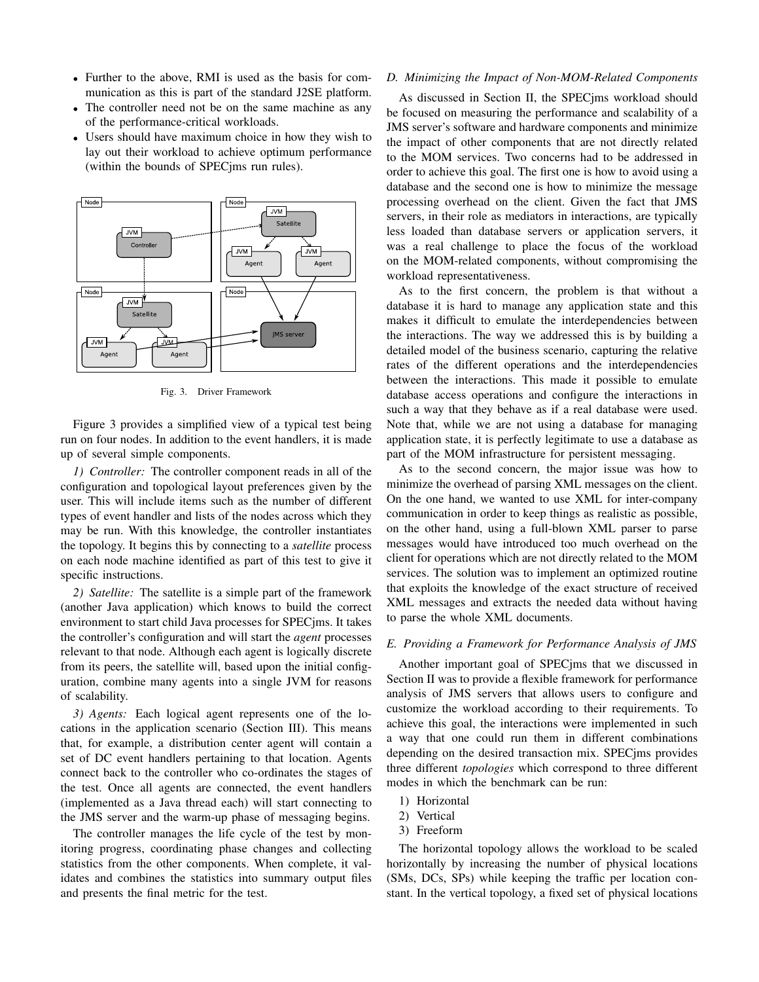- Further to the above, RMI is used as the basis for communication as this is part of the standard J2SE platform.
- The controller need not be on the same machine as any of the performance-critical workloads.
- Users should have maximum choice in how they wish to lay out their workload to achieve optimum performance (within the bounds of SPECjms run rules).



Fig. 3. Driver Framework

Figure 3 provides a simplified view of a typical test being run on four nodes. In addition to the event handlers, it is made up of several simple components.

*1) Controller:* The controller component reads in all of the configuration and topological layout preferences given by the user. This will include items such as the number of different types of event handler and lists of the nodes across which they may be run. With this knowledge, the controller instantiates the topology. It begins this by connecting to a *satellite* process on each node machine identified as part of this test to give it specific instructions.

*2) Satellite:* The satellite is a simple part of the framework (another Java application) which knows to build the correct environment to start child Java processes for SPECjms. It takes the controller's configuration and will start the *agent* processes relevant to that node. Although each agent is logically discrete from its peers, the satellite will, based upon the initial configuration, combine many agents into a single JVM for reasons of scalability.

*3) Agents:* Each logical agent represents one of the locations in the application scenario (Section III). This means that, for example, a distribution center agent will contain a set of DC event handlers pertaining to that location. Agents connect back to the controller who co-ordinates the stages of the test. Once all agents are connected, the event handlers (implemented as a Java thread each) will start connecting to the JMS server and the warm-up phase of messaging begins.

The controller manages the life cycle of the test by monitoring progress, coordinating phase changes and collecting statistics from the other components. When complete, it validates and combines the statistics into summary output files and presents the final metric for the test.

#### *D. Minimizing the Impact of Non-MOM-Related Components*

As discussed in Section II, the SPECjms workload should be focused on measuring the performance and scalability of a JMS server's software and hardware components and minimize the impact of other components that are not directly related to the MOM services. Two concerns had to be addressed in order to achieve this goal. The first one is how to avoid using a database and the second one is how to minimize the message processing overhead on the client. Given the fact that JMS servers, in their role as mediators in interactions, are typically less loaded than database servers or application servers, it was a real challenge to place the focus of the workload on the MOM-related components, without compromising the workload representativeness.

As to the first concern, the problem is that without a database it is hard to manage any application state and this makes it difficult to emulate the interdependencies between the interactions. The way we addressed this is by building a detailed model of the business scenario, capturing the relative rates of the different operations and the interdependencies between the interactions. This made it possible to emulate database access operations and configure the interactions in such a way that they behave as if a real database were used. Note that, while we are not using a database for managing application state, it is perfectly legitimate to use a database as part of the MOM infrastructure for persistent messaging.

As to the second concern, the major issue was how to minimize the overhead of parsing XML messages on the client. On the one hand, we wanted to use XML for inter-company communication in order to keep things as realistic as possible, on the other hand, using a full-blown XML parser to parse messages would have introduced too much overhead on the client for operations which are not directly related to the MOM services. The solution was to implement an optimized routine that exploits the knowledge of the exact structure of received XML messages and extracts the needed data without having to parse the whole XML documents.

#### *E. Providing a Framework for Performance Analysis of JMS*

Another important goal of SPECjms that we discussed in Section II was to provide a flexible framework for performance analysis of JMS servers that allows users to configure and customize the workload according to their requirements. To achieve this goal, the interactions were implemented in such a way that one could run them in different combinations depending on the desired transaction mix. SPECjms provides three different *topologies* which correspond to three different modes in which the benchmark can be run:

- 1) Horizontal
- 2) Vertical
- 3) Freeform

The horizontal topology allows the workload to be scaled horizontally by increasing the number of physical locations (SMs, DCs, SPs) while keeping the traffic per location constant. In the vertical topology, a fixed set of physical locations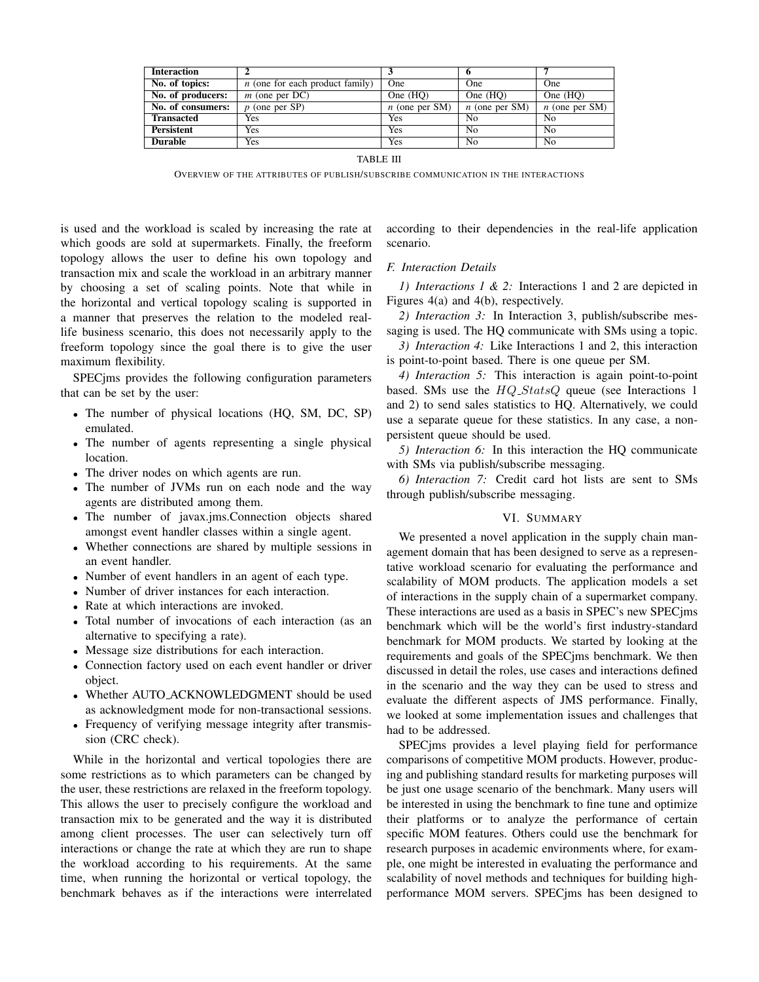| <b>Interaction</b> |                                   |                  |                  |                  |
|--------------------|-----------------------------------|------------------|------------------|------------------|
| No. of topics:     | $n$ (one for each product family) | One              | <b>One</b>       | <b>One</b>       |
| No. of producers:  | $m$ (one per DC)                  | One $(HO)$       | One $(HO)$       | One $(HO)$       |
| No. of consumers:  | $p$ (one per SP)                  | $n$ (one per SM) | $n$ (one per SM) | $n$ (one per SM) |
| <b>Transacted</b>  | Yes                               | Yes              | Nο               | No               |
| <b>Persistent</b>  | Yes                               | Yes              | No               | No               |
| <b>Durable</b>     | Yes                               | Yes              | No               | N <sub>0</sub>   |

TABLE III

OVERVIEW OF THE ATTRIBUTES OF PUBLISH/SUBSCRIBE COMMUNICATION IN THE INTERACTIONS

is used and the workload is scaled by increasing the rate at which goods are sold at supermarkets. Finally, the freeform topology allows the user to define his own topology and transaction mix and scale the workload in an arbitrary manner by choosing a set of scaling points. Note that while in the horizontal and vertical topology scaling is supported in a manner that preserves the relation to the modeled reallife business scenario, this does not necessarily apply to the freeform topology since the goal there is to give the user maximum flexibility.

SPECjms provides the following configuration parameters that can be set by the user:

- The number of physical locations (HQ, SM, DC, SP) emulated.
- The number of agents representing a single physical location.
- The driver nodes on which agents are run.
- The number of JVMs run on each node and the way agents are distributed among them.
- The number of javax.jms.Connection objects shared amongst event handler classes within a single agent.
- Whether connections are shared by multiple sessions in an event handler.
- Number of event handlers in an agent of each type.
- Number of driver instances for each interaction.
- Rate at which interactions are invoked.
- Total number of invocations of each interaction (as an alternative to specifying a rate).
- Message size distributions for each interaction.
- Connection factory used on each event handler or driver object.
- Whether AUTO ACKNOWLEDGMENT should be used as acknowledgment mode for non-transactional sessions.
- Frequency of verifying message integrity after transmission (CRC check).

While in the horizontal and vertical topologies there are some restrictions as to which parameters can be changed by the user, these restrictions are relaxed in the freeform topology. This allows the user to precisely configure the workload and transaction mix to be generated and the way it is distributed among client processes. The user can selectively turn off interactions or change the rate at which they are run to shape the workload according to his requirements. At the same time, when running the horizontal or vertical topology, the benchmark behaves as if the interactions were interrelated according to their dependencies in the real-life application scenario.

# *F. Interaction Details*

*1) Interactions 1 & 2:* Interactions 1 and 2 are depicted in Figures 4(a) and 4(b), respectively.

*2) Interaction 3:* In Interaction 3, publish/subscribe messaging is used. The HQ communicate with SMs using a topic.

*3) Interaction 4:* Like Interactions 1 and 2, this interaction is point-to-point based. There is one queue per SM.

*4) Interaction 5:* This interaction is again point-to-point based. SMs use the  $HQ\_StatsQ$  queue (see Interactions 1 and 2) to send sales statistics to HQ. Alternatively, we could use a separate queue for these statistics. In any case, a nonpersistent queue should be used.

*5) Interaction 6:* In this interaction the HQ communicate with SMs via publish/subscribe messaging.

*6) Interaction 7:* Credit card hot lists are sent to SMs through publish/subscribe messaging.

#### VI. SUMMARY

We presented a novel application in the supply chain management domain that has been designed to serve as a representative workload scenario for evaluating the performance and scalability of MOM products. The application models a set of interactions in the supply chain of a supermarket company. These interactions are used as a basis in SPEC's new SPECjms benchmark which will be the world's first industry-standard benchmark for MOM products. We started by looking at the requirements and goals of the SPECjms benchmark. We then discussed in detail the roles, use cases and interactions defined in the scenario and the way they can be used to stress and evaluate the different aspects of JMS performance. Finally, we looked at some implementation issues and challenges that had to be addressed.

SPECjms provides a level playing field for performance comparisons of competitive MOM products. However, producing and publishing standard results for marketing purposes will be just one usage scenario of the benchmark. Many users will be interested in using the benchmark to fine tune and optimize their platforms or to analyze the performance of certain specific MOM features. Others could use the benchmark for research purposes in academic environments where, for example, one might be interested in evaluating the performance and scalability of novel methods and techniques for building highperformance MOM servers. SPECjms has been designed to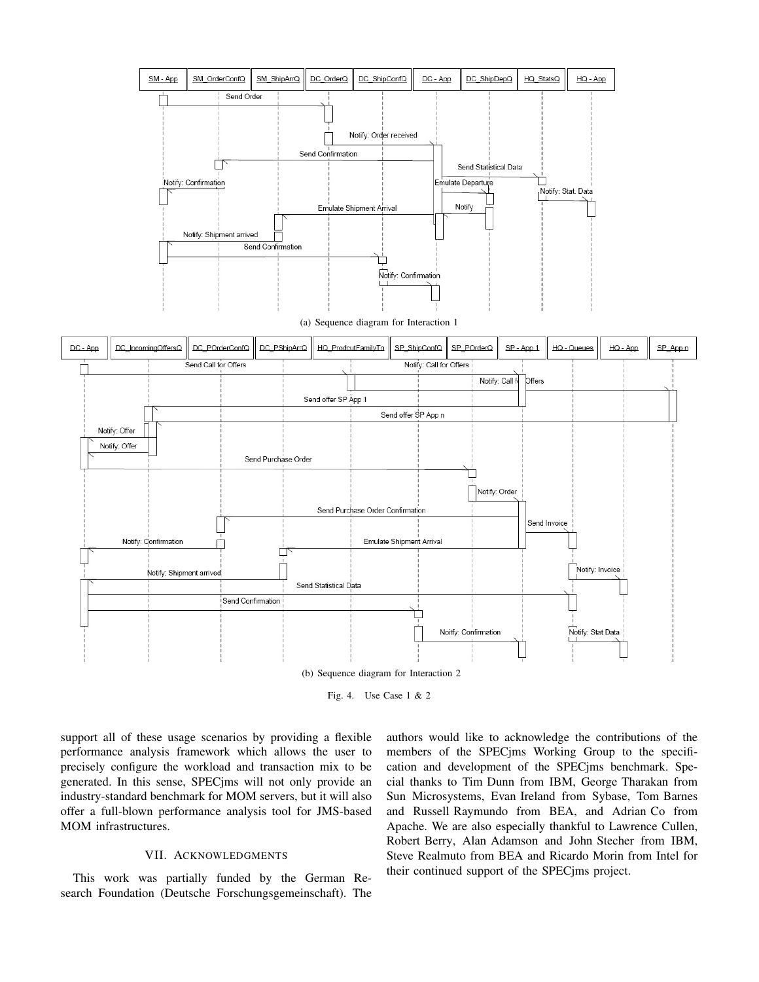

Fig. 4. Use Case 1 & 2

support all of these usage scenarios by providing a flexible performance analysis framework which allows the user to precisely configure the workload and transaction mix to be generated. In this sense, SPECjms will not only provide an industry-standard benchmark for MOM servers, but it will also offer a full-blown performance analysis tool for JMS-based MOM infrastructures.

# VII. ACKNOWLEDGMENTS

This work was partially funded by the German Research Foundation (Deutsche Forschungsgemeinschaft). The authors would like to acknowledge the contributions of the members of the SPECjms Working Group to the specification and development of the SPECjms benchmark. Special thanks to Tim Dunn from IBM, George Tharakan from Sun Microsystems, Evan Ireland from Sybase, Tom Barnes and Russell Raymundo from BEA, and Adrian Co from Apache. We are also especially thankful to Lawrence Cullen, Robert Berry, Alan Adamson and John Stecher from IBM, Steve Realmuto from BEA and Ricardo Morin from Intel for their continued support of the SPECjms project.